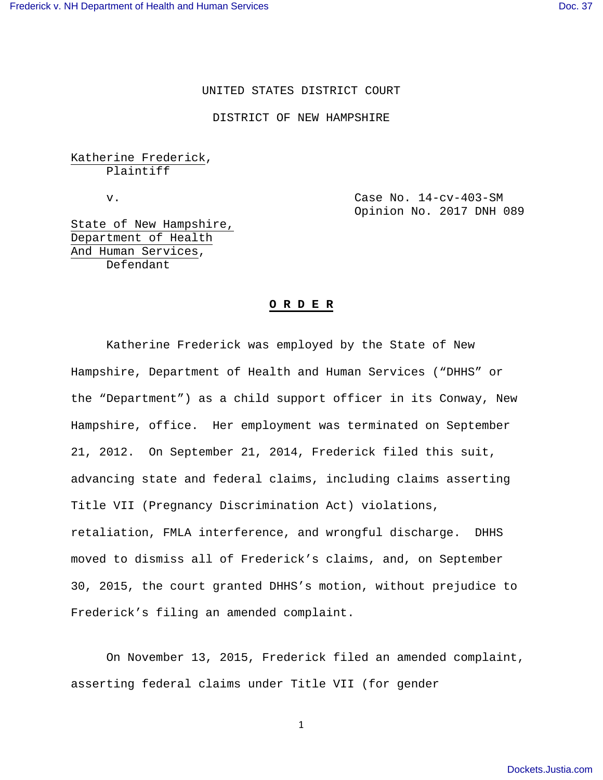### UNITED STATES DISTRICT COURT

DISTRICT OF NEW HAMPSHIRE

Katherine Frederick, Plaintiff

 v. Case No. 14-cv-403-SM Opinion No. 2017 DNH 089

State of New Hampshire, Department of Health And Human Services, Defendant

#### **O R D E R**

 Katherine Frederick was employed by the State of New Hampshire, Department of Health and Human Services ("DHHS" or the "Department") as a child support officer in its Conway, New Hampshire, office. Her employment was terminated on September 21, 2012. On September 21, 2014, Frederick filed this suit, advancing state and federal claims, including claims asserting Title VII (Pregnancy Discrimination Act) violations, retaliation, FMLA interference, and wrongful discharge. DHHS moved to dismiss all of Frederick's claims, and, on September 30, 2015, the court granted DHHS's motion, without prejudice to Frederick's filing an amended complaint.

On November 13, 2015, Frederick filed an amended complaint, asserting federal claims under Title VII (for gender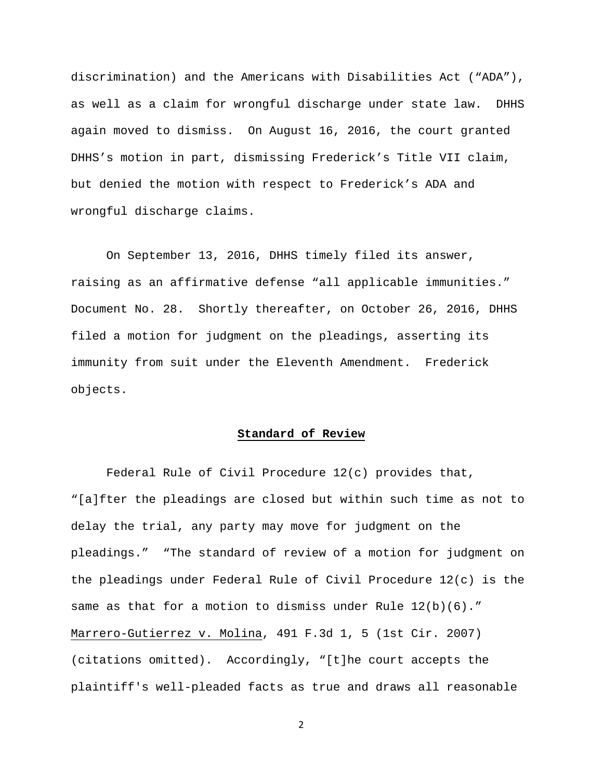discrimination) and the Americans with Disabilities Act ("ADA"), as well as a claim for wrongful discharge under state law. DHHS again moved to dismiss. On August 16, 2016, the court granted DHHS's motion in part, dismissing Frederick's Title VII claim, but denied the motion with respect to Frederick's ADA and wrongful discharge claims.

On September 13, 2016, DHHS timely filed its answer, raising as an affirmative defense "all applicable immunities." Document No. 28. Shortly thereafter, on October 26, 2016, DHHS filed a motion for judgment on the pleadings, asserting its immunity from suit under the Eleventh Amendment. Frederick objects.

### **Standard of Review**

 Federal Rule of Civil Procedure 12(c) provides that, "[a]fter the pleadings are closed but within such time as not to delay the trial, any party may move for judgment on the pleadings." "The standard of review of a motion for judgment on the pleadings under Federal Rule of Civil Procedure 12(c) is the same as that for a motion to dismiss under Rule 12(b)(6)." Marrero-Gutierrez v. Molina, 491 F.3d 1, 5 (1st Cir. 2007) (citations omitted). Accordingly, "[t]he court accepts the plaintiff's well-pleaded facts as true and draws all reasonable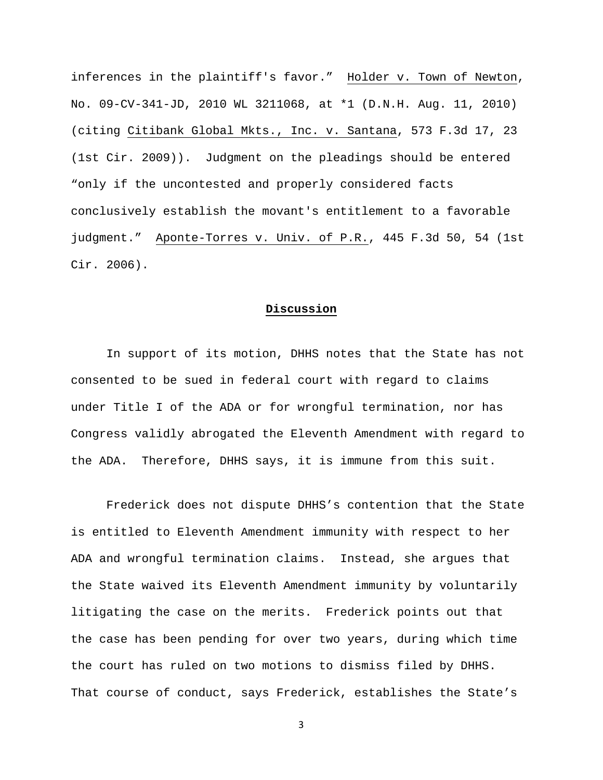inferences in the plaintiff's favor." Holder v. Town of Newton, No. 09-CV-341-JD, 2010 WL 3211068, at \*1 (D.N.H. Aug. 11, 2010) (citing Citibank Global Mkts., Inc. v. Santana, 573 F.3d 17, 23 (1st Cir. 2009)). Judgment on the pleadings should be entered "only if the uncontested and properly considered facts conclusively establish the movant's entitlement to a favorable judgment." Aponte-Torres v. Univ. of P.R., 445 F.3d 50, 54 (1st Cir. 2006).

# **Discussion**

In support of its motion, DHHS notes that the State has not consented to be sued in federal court with regard to claims under Title I of the ADA or for wrongful termination, nor has Congress validly abrogated the Eleventh Amendment with regard to the ADA. Therefore, DHHS says, it is immune from this suit.

Frederick does not dispute DHHS's contention that the State is entitled to Eleventh Amendment immunity with respect to her ADA and wrongful termination claims. Instead, she argues that the State waived its Eleventh Amendment immunity by voluntarily litigating the case on the merits. Frederick points out that the case has been pending for over two years, during which time the court has ruled on two motions to dismiss filed by DHHS. That course of conduct, says Frederick, establishes the State's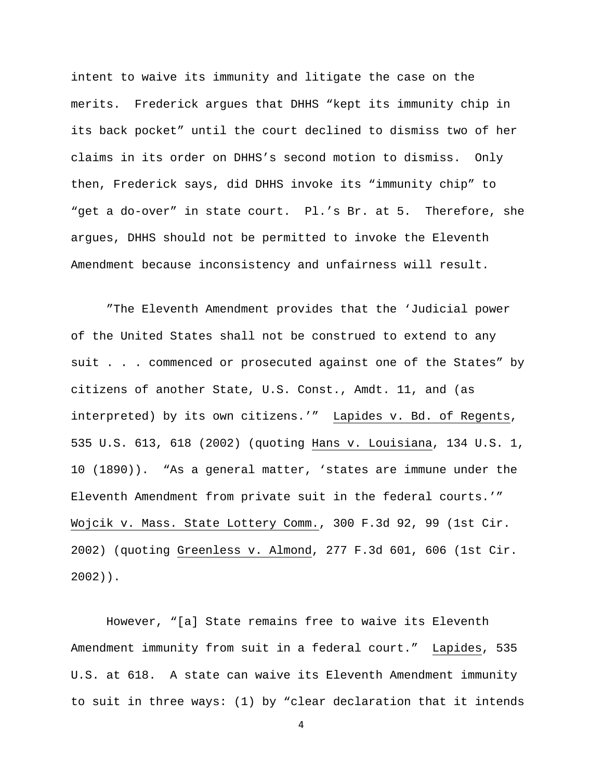intent to waive its immunity and litigate the case on the merits. Frederick argues that DHHS "kept its immunity chip in its back pocket" until the court declined to dismiss two of her claims in its order on DHHS's second motion to dismiss. Only then, Frederick says, did DHHS invoke its "immunity chip" to "get a do-over" in state court. Pl.'s Br. at 5. Therefore, she argues, DHHS should not be permitted to invoke the Eleventh Amendment because inconsistency and unfairness will result.

"The Eleventh Amendment provides that the 'Judicial power of the United States shall not be construed to extend to any suit . . . commenced or prosecuted against one of the States" by citizens of another State, U.S. Const., Amdt. 11, and (as interpreted) by its own citizens.'" Lapides v. Bd. of Regents, 535 U.S. 613, 618 (2002) (quoting Hans v. Louisiana, 134 U.S. 1, 10 (1890)). "As a general matter, 'states are immune under the Eleventh Amendment from private suit in the federal courts.'" Wojcik v. Mass. State Lottery Comm., 300 F.3d 92, 99 (1st Cir. 2002) (quoting Greenless v. Almond, 277 F.3d 601, 606 (1st Cir. 2002)).

 However, "[a] State remains free to waive its Eleventh Amendment immunity from suit in a federal court." Lapides, 535 U.S. at 618. A state can waive its Eleventh Amendment immunity to suit in three ways: (1) by "clear declaration that it intends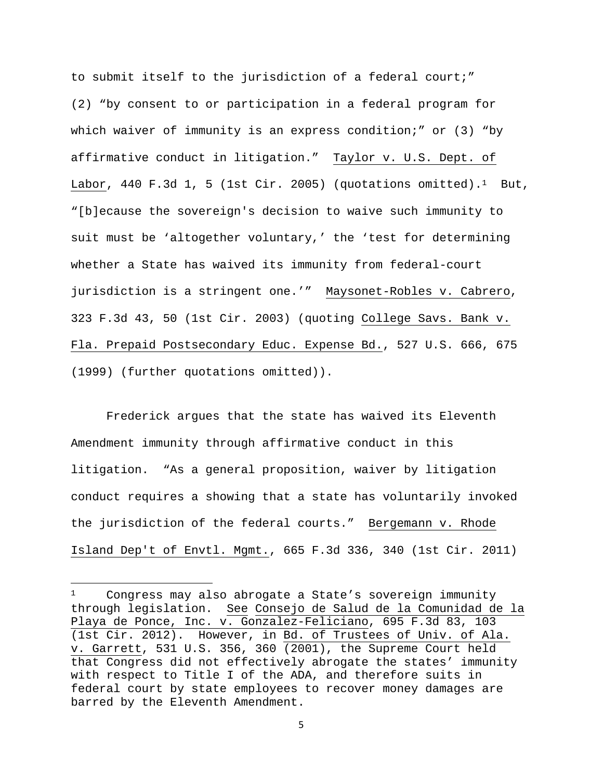to submit itself to the jurisdiction of a federal court;" (2) "by consent to or participation in a federal program for which waiver of immunity is an express condition;" or (3) "by affirmative conduct in litigation." Taylor v. U.S. Dept. of Labor, 440 F.3d 1, 5 (1st Cir. 2005) (quotations omitted).<sup>1</sup> But, "[b]ecause the sovereign's decision to waive such immunity to suit must be 'altogether voluntary,' the 'test for determining whether a State has waived its immunity from federal-court jurisdiction is a stringent one.'" Maysonet-Robles v. Cabrero, 323 F.3d 43, 50 (1st Cir. 2003) (quoting College Savs. Bank v. Fla. Prepaid Postsecondary Educ. Expense Bd., 527 U.S. 666, 675 (1999) (further quotations omitted)).

Frederick argues that the state has waived its Eleventh Amendment immunity through affirmative conduct in this litigation. "As a general proposition, waiver by litigation conduct requires a showing that a state has voluntarily invoked the jurisdiction of the federal courts." Bergemann v. Rhode Island Dep't of Envtl. Mgmt., 665 F.3d 336, 340 (1st Cir. 2011)

<sup>1</sup> Congress may also abrogate a State's sovereign immunity through legislation. See Consejo de Salud de la Comunidad de la Playa de Ponce, Inc. v. Gonzalez-Feliciano, 695 F.3d 83, 103 (1st Cir. 2012). However, in Bd. of Trustees of Univ. of Ala. v. Garrett, 531 U.S. 356, 360 (2001), the Supreme Court held that Congress did not effectively abrogate the states' immunity with respect to Title I of the ADA, and therefore suits in federal court by state employees to recover money damages are barred by the Eleventh Amendment.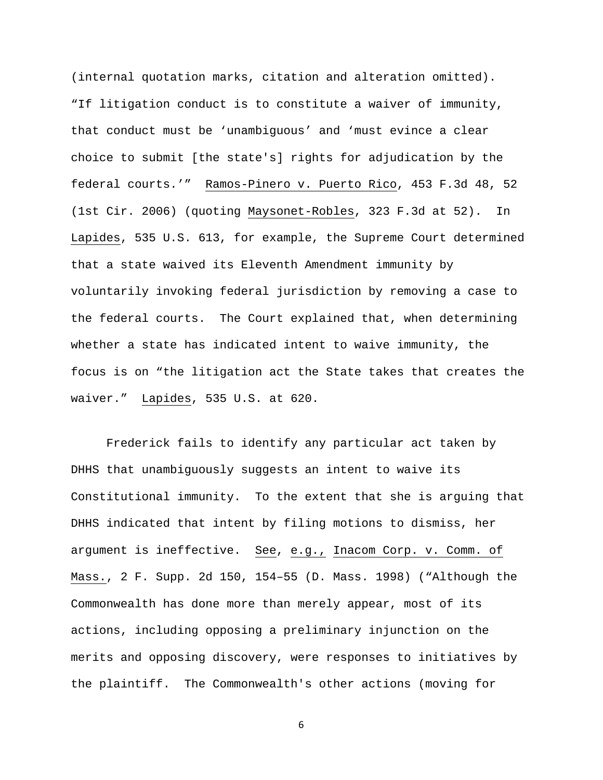(internal quotation marks, citation and alteration omitted). "If litigation conduct is to constitute a waiver of immunity, that conduct must be 'unambiguous' and 'must evince a clear choice to submit [the state's] rights for adjudication by the federal courts.'" Ramos-Pinero v. Puerto Rico, 453 F.3d 48, 52 (1st Cir. 2006) (quoting Maysonet-Robles, 323 F.3d at 52). In Lapides, 535 U.S. 613, for example, the Supreme Court determined that a state waived its Eleventh Amendment immunity by voluntarily invoking federal jurisdiction by removing a case to the federal courts. The Court explained that, when determining whether a state has indicated intent to waive immunity, the focus is on "the litigation act the State takes that creates the waiver." Lapides, 535 U.S. at 620.

Frederick fails to identify any particular act taken by DHHS that unambiguously suggests an intent to waive its Constitutional immunity. To the extent that she is arguing that DHHS indicated that intent by filing motions to dismiss, her argument is ineffective. See, e.g., Inacom Corp. v. Comm. of Mass., 2 F. Supp. 2d 150, 154–55 (D. Mass. 1998) ("Although the Commonwealth has done more than merely appear, most of its actions, including opposing a preliminary injunction on the merits and opposing discovery, were responses to initiatives by the plaintiff. The Commonwealth's other actions (moving for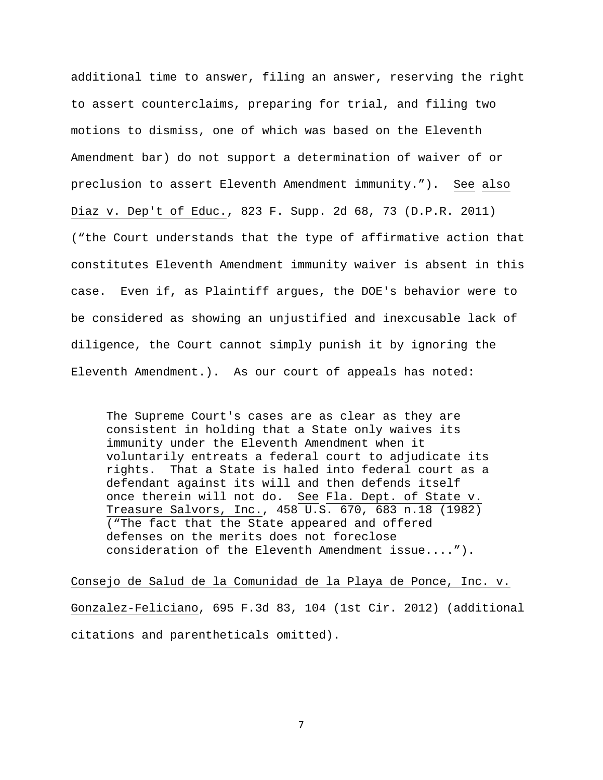additional time to answer, filing an answer, reserving the right to assert counterclaims, preparing for trial, and filing two motions to dismiss, one of which was based on the Eleventh Amendment bar) do not support a determination of waiver of or preclusion to assert Eleventh Amendment immunity."). See also Diaz v. Dep't of Educ., 823 F. Supp. 2d 68, 73 (D.P.R. 2011) ("the Court understands that the type of affirmative action that constitutes Eleventh Amendment immunity waiver is absent in this case. Even if, as Plaintiff argues, the DOE's behavior were to be considered as showing an unjustified and inexcusable lack of diligence, the Court cannot simply punish it by ignoring the Eleventh Amendment.). As our court of appeals has noted:

The Supreme Court's cases are as clear as they are consistent in holding that a State only waives its immunity under the Eleventh Amendment when it voluntarily entreats a federal court to adjudicate its rights. That a State is haled into federal court as a defendant against its will and then defends itself once therein will not do. See Fla. Dept. of State v. Treasure Salvors, Inc., 458 U.S. 670, 683 n.18 (1982) ("The fact that the State appeared and offered defenses on the merits does not foreclose consideration of the Eleventh Amendment issue....").

Consejo de Salud de la Comunidad de la Playa de Ponce, Inc. v. Gonzalez-Feliciano, 695 F.3d 83, 104 (1st Cir. 2012) (additional citations and parentheticals omitted).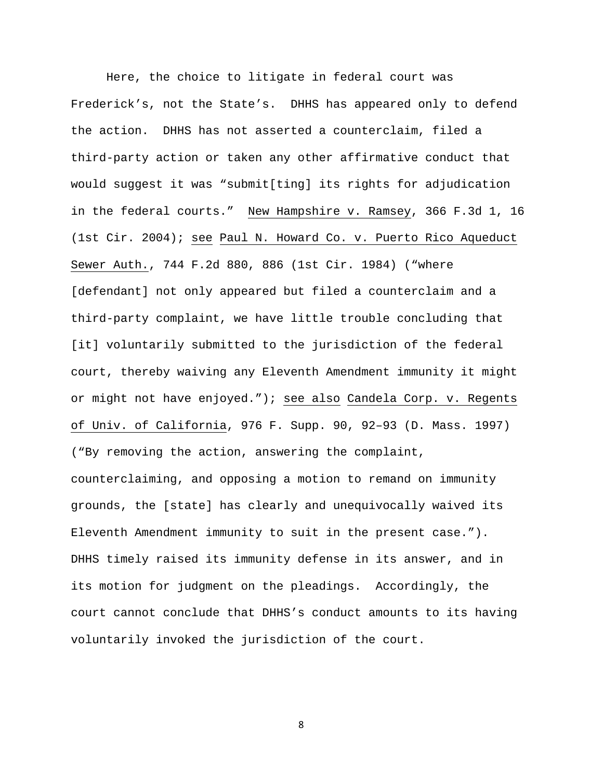Here, the choice to litigate in federal court was Frederick's, not the State's. DHHS has appeared only to defend the action. DHHS has not asserted a counterclaim, filed a third-party action or taken any other affirmative conduct that would suggest it was "submit[ting] its rights for adjudication in the federal courts." New Hampshire v. Ramsey, 366 F.3d 1, 16 (1st Cir. 2004); see Paul N. Howard Co. v. Puerto Rico Aqueduct Sewer Auth., 744 F.2d 880, 886 (1st Cir. 1984) ("where [defendant] not only appeared but filed a counterclaim and a third-party complaint, we have little trouble concluding that [it] voluntarily submitted to the jurisdiction of the federal court, thereby waiving any Eleventh Amendment immunity it might or might not have enjoyed."); see also Candela Corp. v. Regents of Univ. of California, 976 F. Supp. 90, 92–93 (D. Mass. 1997) ("By removing the action, answering the complaint, counterclaiming, and opposing a motion to remand on immunity grounds, the [state] has clearly and unequivocally waived its Eleventh Amendment immunity to suit in the present case."). DHHS timely raised its immunity defense in its answer, and in its motion for judgment on the pleadings. Accordingly, the court cannot conclude that DHHS's conduct amounts to its having voluntarily invoked the jurisdiction of the court.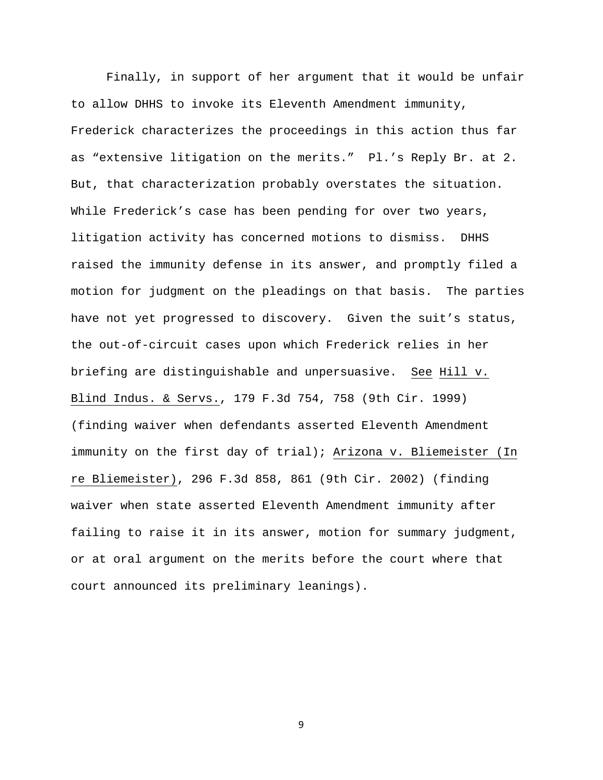Finally, in support of her argument that it would be unfair to allow DHHS to invoke its Eleventh Amendment immunity, Frederick characterizes the proceedings in this action thus far as "extensive litigation on the merits." Pl.'s Reply Br. at 2. But, that characterization probably overstates the situation. While Frederick's case has been pending for over two years, litigation activity has concerned motions to dismiss. DHHS raised the immunity defense in its answer, and promptly filed a motion for judgment on the pleadings on that basis. The parties have not yet progressed to discovery. Given the suit's status, the out-of-circuit cases upon which Frederick relies in her briefing are distinguishable and unpersuasive. See Hill v. Blind Indus. & Servs., 179 F.3d 754, 758 (9th Cir. 1999) (finding waiver when defendants asserted Eleventh Amendment immunity on the first day of trial); Arizona v. Bliemeister (In re Bliemeister), 296 F.3d 858, 861 (9th Cir. 2002) (finding waiver when state asserted Eleventh Amendment immunity after failing to raise it in its answer, motion for summary judgment, or at oral argument on the merits before the court where that court announced its preliminary leanings).